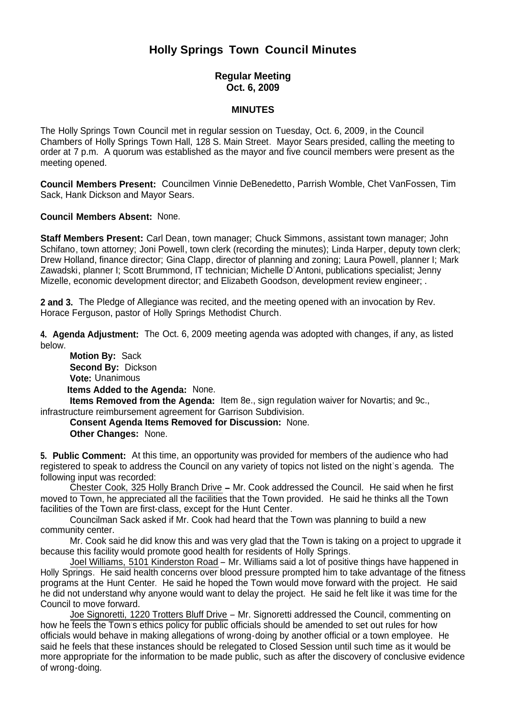# **Holly Springs Town Council Minutes**

## **Regular Meeting Oct. 6, 2009**

#### **MINUTES**

The Holly Springs Town Council met in regular session on Tuesday, Oct. 6, 2009, in the Council Chambers of Holly Springs Town Hall, 128 S. Main Street. Mayor Sears presided, calling the meeting to order at 7 p.m. A quorum was established as the mayor and five council members were present as the meeting opened.

**Council Members Present:** Councilmen Vinnie DeBenedetto, Parrish Womble, Chet VanFossen, Tim Sack, Hank Dickson and Mayor Sears.

**Council Members Absent:** None.

**Staff Members Present:** Carl Dean, town manager; Chuck Simmons, assistant town manager; John Schifano, town attorney; Joni Powell, town clerk (recording the minutes); Linda Harper, deputy town clerk; Drew Holland, finance director; Gina Clapp, director of planning and zoning; Laura Powell, planner I; Mark Zawadski, planner I; Scott Brummond, IT technician; Michelle D'Antoni, publications specialist; Jenny Mizelle, economic development director; and Elizabeth Goodson, development review engineer; .

**2 and 3.** The Pledge of Allegiance was recited, and the meeting opened with an invocation by Rev. Horace Ferguson, pastor of Holly Springs Methodist Church.

**4. Agenda Adjustment:** The Oct. 6, 2009 meeting agenda was adopted with changes, if any, as listed below.

**Motion By: Sack Second By:** Dickson **Vote:** Unanimous **Items Added to the Agenda:** None.

 **Items Removed from the Agenda:** Item 8e., sign regulation waiver for Novartis; and 9c., infrastructure reimbursement agreement for Garrison Subdivision.

 **Consent Agenda Items Removed for Discussion:** None. **Other Changes:** None.

**5. Public Comment:** At this time, an opportunity was provided for members of the audience who had registered to speak to address the Council on any variety of topics not listed on the night's agenda. The following input was recorded:

Chester Cook, 325 Holly Branch Drive **–** Mr. Cook addressed the Council. He said when he first moved to Town, he appreciated all the facilities that the Town provided. He said he thinks all the Town facilities of the Town are first-class, except for the Hunt Center.

 Councilman Sack asked if Mr. Cook had heard that the Town was planning to build a new community center.

Mr. Cook said he did know this and was very glad that the Town is taking on a project to upgrade it because this facility would promote good health for residents of Holly Springs.

 Joel Williams, 5101 Kinderston Road – Mr. Williams said a lot of positive things have happened in Holly Springs. He said health concerns over blood pressure prompted him to take advantage of the fitness programs at the Hunt Center. He said he hoped the Town would move forward with the project. He said he did not understand why anyone would want to delay the project. He said he felt like it was time for the Council to move forward.

 Joe Signoretti, 1220 Trotters Bluff Drive – Mr. Signoretti addressed the Council, commenting on how he feels the Town's ethics policy for public officials should be amended to set out rules for how officials would behave in making allegations of wrong-doing by another official or a town employee. He said he feels that these instances should be relegated to Closed Session until such time as it would be more appropriate for the information to be made public, such as after the discovery of conclusive evidence of wrong-doing.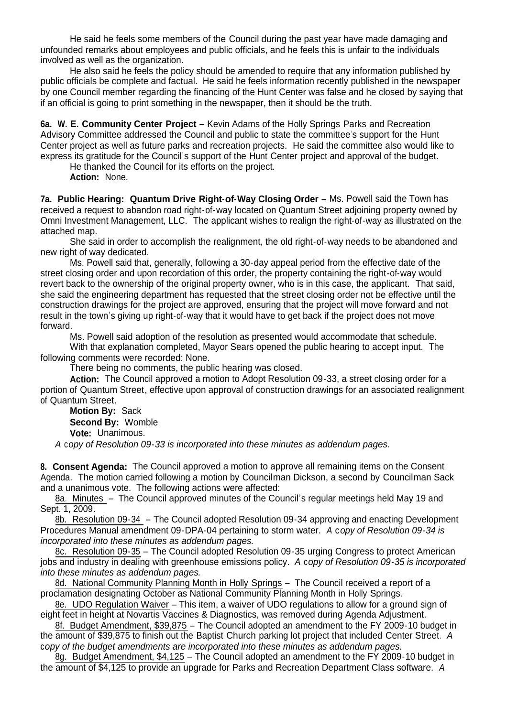He said he feels some members of the Council during the past year have made damaging and unfounded remarks about employees and public officials, and he feels this is unfair to the individuals involved as well as the organization.

 He also said he feels the policy should be amended to require that any information published by public officials be complete and factual. He said he feels information recently published in the newspaper by one Council member regarding the financing of the Hunt Center was false and he closed by saying that if an official is going to print something in the newspaper, then it should be the truth.

**6a. W. E. Community Center Project –** Kevin Adams of the Holly Springs Parks and Recreation Advisory Committee addressed the Council and public to state the committee's support for the Hunt Center project as well as future parks and recreation projects. He said the committee also would like to express its gratitude for the Council's support of the Hunt Center project and approval of the budget.

He thanked the Council for its efforts on the project.

 **Action:** None.

**7a. Public Hearing: Quantum Drive Right-of-Way Closing Order –** Ms. Powell said the Town has received a request to abandon road right-of-way located on Quantum Street adjoining property owned by Omni Investment Management, LLC. The applicant wishes to realign the right-of-way as illustrated on the attached map.

 She said in order to accomplish the realignment, the old right-of-way needs to be abandoned and new right of way dedicated.

 Ms. Powell said that, generally, following a 30-day appeal period from the effective date of the street closing order and upon recordation of this order, the property containing the right-of-way would revert back to the ownership of the original property owner, who is in this case, the applicant. That said, she said the engineering department has requested that the street closing order not be effective until the construction drawings for the project are approved, ensuring that the project will move forward and not result in the town's giving up right-of-way that it would have to get back if the project does not move forward.

Ms. Powell said adoption of the resolution as presented would accommodate that schedule.

With that explanation completed, Mayor Sears opened the public hearing to accept input. The following comments were recorded: None.

There being no comments, the public hearing was closed.

 **Action:** The Council approved a motion to Adopt Resolution 09-33, a street closing order for a portion of Quantum Street, effective upon approval of construction drawings for an associated realignment of Quantum Street.

**Motion By:** Sack **Second By:** Womble **Vote:** Unanimous.

*A* c*opy of Resolution 09-33 is incorporated into these minutes as addendum pages.*

**8. Consent Agenda:** The Council approved a motion to approve all remaining items on the Consent Agenda. The motion carried following a motion by Councilman Dickson, a second by Councilman Sack and a unanimous vote. The following actions were affected:

8a. Minutes – The Council approved minutes of the Council's regular meetings held May 19 and Sept. 1, 2009.

8b. Resolution 09-34 – The Council adopted Resolution 09-34 approving and enacting Development Procedures Manual amendment 09-DPA-04 pertaining to storm water. *A* c*opy of Resolution 09-34 is incorporated into these minutes as addendum pages.*

8c. Resolution 09-35 – The Council adopted Resolution 09-35 urging Congress to protect American jobs and industry in dealing with greenhouse emissions policy. *A* c*opy of Resolution 09-35 is incorporated into these minutes as addendum pages.*

8d. National Community Planning Month in Holly Springs – The Council received a report of a proclamation designating October as National Community Planning Month in Holly Springs.

8e. UDO Regulation Waiver – This item, a waiver of UDO regulations to allow for a ground sign of eight feet in height at Novartis Vaccines & Diagnostics, was removed during Agenda Adjustment.

8f. Budget Amendment, \$39,875 – The Council adopted an amendment to the FY 2009-10 budget in the amount of \$39,875 to finish out the Baptist Church parking lot project that included Center Street. *A*  c*opy of the budget amendments are incorporated into these minutes as addendum pages.*

8g. Budget Amendment, \$4,125 – The Council adopted an amendment to the FY 2009-10 budget in the amount of \$4,125 to provide an upgrade for Parks and Recreation Department Class software. *A*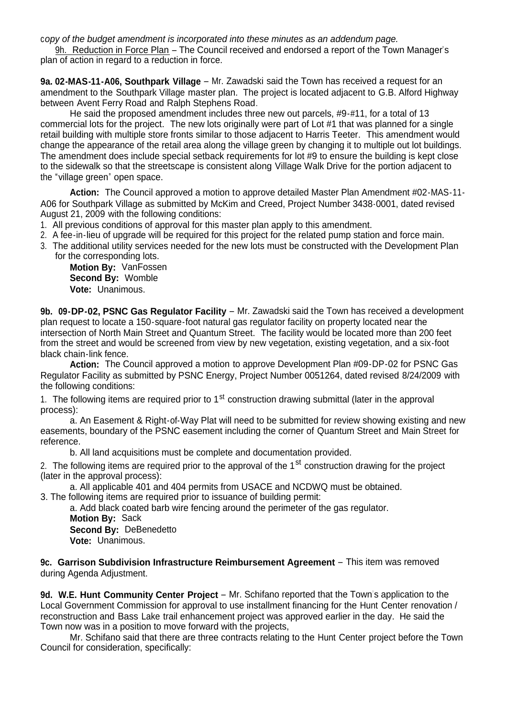c*opy of the budget amendment is incorporated into these minutes as an addendum page.*

9h. Reduction in Force Plan – The Council received and endorsed a report of the Town Manager's plan of action in regard to a reduction in force.

**9a. 02-MAS-11-A06, Southpark Village** – Mr. Zawadski said the Town has received a request for an amendment to the Southpark Village master plan. The project is located adjacent to G.B. Alford Highway between Avent Ferry Road and Ralph Stephens Road.

He said the proposed amendment includes three new out parcels, #9-#11, for a total of 13 commercial lots for the project. The new lots originally were part of Lot #1 that was planned for a single retail building with multiple store fronts similar to those adjacent to Harris Teeter. This amendment would change the appearance of the retail area along the village green by changing it to multiple out lot buildings. The amendment does include special setback requirements for lot #9 to ensure the building is kept close to the sidewalk so that the streetscape is consistent along Village Walk Drive for the portion adjacent to the "village green" open space.

**Action:** The Council approved a motion to approve detailed Master Plan Amendment #02-MAS-11- A06 for Southpark Village as submitted by McKim and Creed, Project Number 3438-0001, dated revised August 21, 2009 with the following conditions:

- 1. All previous conditions of approval for this master plan apply to this amendment.
- 2. A fee-in-lieu of upgrade will be required for this project for the related pump station and force main.
- 3. The additional utility services needed for the new lots must be constructed with the Development Plan for the corresponding lots.

**Motion By:** VanFossen **Second By:** Womble **Vote:** Unanimous.

**9b. 09-DP-02, PSNC Gas Regulator Facility** – Mr. Zawadski said the Town has received a development plan request to locate a 150-square-foot natural gas regulator facility on property located near the intersection of North Main Street and Quantum Street. The facility would be located more than 200 feet from the street and would be screened from view by new vegetation, existing vegetation, and a six-foot black chain-link fence.

**Action:** The Council approved a motion to approve Development Plan #09-DP-02 for PSNC Gas Regulator Facility as submitted by PSNC Energy, Project Number 0051264, dated revised 8/24/2009 with the following conditions:

1. The following items are required prior to 1<sup>st</sup> construction drawing submittal (later in the approval process):

a. An Easement & Right-of-Way Plat will need to be submitted for review showing existing and new easements, boundary of the PSNC easement including the corner of Quantum Street and Main Street for reference.

b. All land acquisitions must be complete and documentation provided.

2. The following items are required prior to the approval of the  $1<sup>st</sup>$  construction drawing for the project (later in the approval process):

a. All applicable 401 and 404 permits from USACE and NCDWQ must be obtained.

3. The following items are required prior to issuance of building permit:

a. Add black coated barb wire fencing around the perimeter of the gas regulator. **Motion By:** Sack **Second By:** DeBenedetto **Vote:** Unanimous.

**9c. Garrison Subdivision Infrastructure Reimbursement Agreement** – This item was removed during Agenda Adjustment.

**9d. W.E. Hunt Community Center Project** – Mr. Schifano reported that the Town's application to the Local Government Commission for approval to use installment financing for the Hunt Center renovation / reconstruction and Bass Lake trail enhancement project was approved earlier in the day. He said the Town now was in a position to move forward with the projects,

 Mr. Schifano said that there are three contracts relating to the Hunt Center project before the Town Council for consideration, specifically: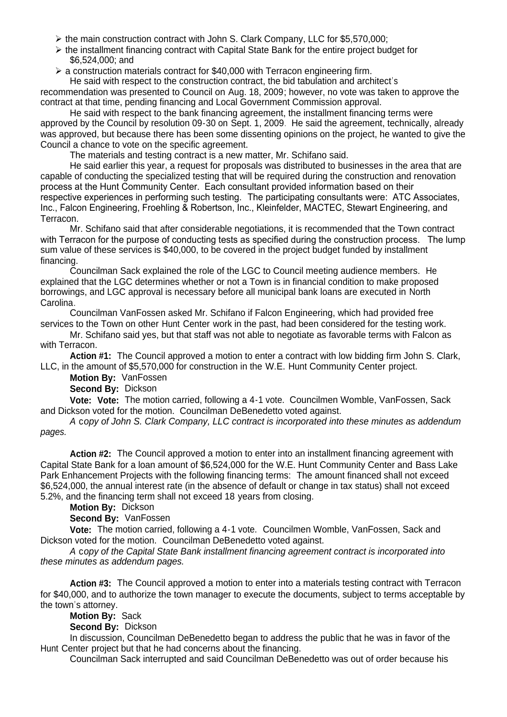- $\triangleright$  the main construction contract with John S. Clark Company, LLC for \$5,570,000;
- $\triangleright$  the installment financing contract with Capital State Bank for the entire project budget for \$6,524,000; and
- $\geq$  a construction materials contract for \$40,000 with Terracon engineering firm.

 He said with respect to the construction contract, the bid tabulation and architect's recommendation was presented to Council on Aug. 18, 2009; however, no vote was taken to approve the contract at that time, pending financing and Local Government Commission approval.

 He said with respect to the bank financing agreement, the installment financing terms were approved by the Council by resolution 09-30 on Sept. 1, 2009. He said the agreement, technically, already was approved, but because there has been some dissenting opinions on the project, he wanted to give the Council a chance to vote on the specific agreement.

The materials and testing contract is a new matter, Mr. Schifano said.

He said earlier this year, a request for proposals was distributed to businesses in the area that are capable of conducting the specialized testing that will be required during the construction and renovation process at the Hunt Community Center. Each consultant provided information based on their respective experiences in performing such testing. The participating consultants were: ATC Associates, Inc., Falcon Engineering, Froehling & Robertson, Inc., Kleinfelder, MACTEC, Stewart Engineering, and Terracon.

 Mr. Schifano said that after considerable negotiations, it is recommended that the Town contract with Terracon for the purpose of conducting tests as specified during the construction process. The lump sum value of these services is \$40,000, to be covered in the project budget funded by installment financing.

Councilman Sack explained the role of the LGC to Council meeting audience members. He explained that the LGC determines whether or not a Town is in financial condition to make proposed borrowings, and LGC approval is necessary before all municipal bank loans are executed in North Carolina.

Councilman VanFossen asked Mr. Schifano if Falcon Engineering, which had provided free services to the Town on other Hunt Center work in the past, had been considered for the testing work.

Mr. Schifano said yes, but that staff was not able to negotiate as favorable terms with Falcon as with Terracon

**Action #1:** The Council approved a motion to enter a contract with low bidding firm John S. Clark, LLC, in the amount of \$5,570,000 for construction in the W.E. Hunt Community Center project.

**Motion By:** VanFossen

**Second By:** Dickson

**Vote: Vote:** The motion carried, following a 4-1 vote. Councilmen Womble, VanFossen, Sack and Dickson voted for the motion. Councilman DeBenedetto voted against.

*A* c*opy of John S. Clark Company, LLC contract is incorporated into these minutes as addendum pages.*

 **Action #2:** The Council approved a motion to enter into an installment financing agreement with Capital State Bank for a loan amount of \$6,524,000 for the W.E. Hunt Community Center and Bass Lake Park Enhancement Projects with the following financing terms: The amount financed shall not exceed \$6,524,000, the annual interest rate (in the absence of default or change in tax status) shall not exceed 5.2%, and the financing term shall not exceed 18 years from closing.

**Motion By:** Dickson

**Second By:** VanFossen

**Vote:** The motion carried, following a 4-1 vote. Councilmen Womble, VanFossen, Sack and Dickson voted for the motion. Councilman DeBenedetto voted against.

 *A* c*opy of the Capital State Bank installment financing agreement contract is incorporated into these minutes as addendum pages.*

**Action #3:** The Council approved a motion to enter into a materials testing contract with Terracon for \$40,000, and to authorize the town manager to execute the documents, subject to terms acceptable by the town's attorney.

**Motion By:** Sack

**Second By:** Dickson

In discussion, Councilman DeBenedetto began to address the public that he was in favor of the Hunt Center project but that he had concerns about the financing.

Councilman Sack interrupted and said Councilman DeBenedetto was out of order because his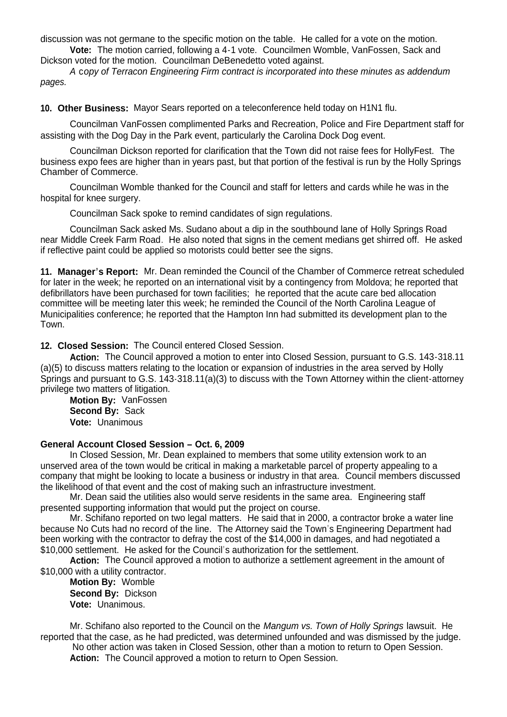discussion was not germane to the specific motion on the table. He called for a vote on the motion.

**Vote:** The motion carried, following a 4-1 vote. Councilmen Womble, VanFossen, Sack and Dickson voted for the motion. Councilman DeBenedetto voted against.

 *A* c*opy of Terracon Engineering Firm contract is incorporated into these minutes as addendum pages.*

**10. Other Business:** Mayor Sears reported on a teleconference held today on H1N1 flu.

Councilman VanFossen complimented Parks and Recreation, Police and Fire Department staff for assisting with the Dog Day in the Park event, particularly the Carolina Dock Dog event.

 Councilman Dickson reported for clarification that the Town did not raise fees for HollyFest. The business expo fees are higher than in years past, but that portion of the festival is run by the Holly Springs Chamber of Commerce.

 Councilman Womble thanked for the Council and staff for letters and cards while he was in the hospital for knee surgery.

Councilman Sack spoke to remind candidates of sign regulations.

 Councilman Sack asked Ms. Sudano about a dip in the southbound lane of Holly Springs Road near Middle Creek Farm Road. He also noted that signs in the cement medians get shirred off. He asked if reflective paint could be applied so motorists could better see the signs.

**11. Manager's Report:** Mr. Dean reminded the Council of the Chamber of Commerce retreat scheduled for later in the week; he reported on an international visit by a contingency from Moldova; he reported that defibrillators have been purchased for town facilities; he reported that the acute care bed allocation committee will be meeting later this week; he reminded the Council of the North Carolina League of Municipalities conference; he reported that the Hampton Inn had submitted its development plan to the Town.

**12. Closed Session:** The Council entered Closed Session.

 **Action:** The Council approved a motion to enter into Closed Session, pursuant to G.S. 143-318.11 (a)(5) to discuss matters relating to the location or expansion of industries in the area served by Holly Springs and pursuant to G.S. 143-318.11(a)(3) to discuss with the Town Attorney within the client-attorney privilege two matters of litigation.

 **Motion By:** VanFossen **Second By:** Sack **Vote:** Unanimous

## **General Account Closed Session – Oct. 6, 2009**

 In Closed Session, Mr. Dean explained to members that some utility extension work to an unserved area of the town would be critical in making a marketable parcel of property appealing to a company that might be looking to locate a business or industry in that area. Council members discussed the likelihood of that event and the cost of making such an infrastructure investment.

 Mr. Dean said the utilities also would serve residents in the same area. Engineering staff presented supporting information that would put the project on course.

 Mr. Schifano reported on two legal matters. He said that in 2000, a contractor broke a water line because No Cuts had no record of the line. The Attorney said the Town's Engineering Department had been working with the contractor to defray the cost of the \$14,000 in damages, and had negotiated a \$10,000 settlement. He asked for the Council's authorization for the settlement.

 **Action:** The Council approved a motion to authorize a settlement agreement in the amount of \$10,000 with a utility contractor.

 **Motion By:** Womble **Second By:** Dickson **Vote:** Unanimous.

 Mr. Schifano also reported to the Council on the *Mangum vs. Town of Holly Springs* lawsuit. He reported that the case, as he had predicted, was determined unfounded and was dismissed by the judge.

 No other action was taken in Closed Session, other than a motion to return to Open Session. Action: The Council approved a motion to return to Open Session.